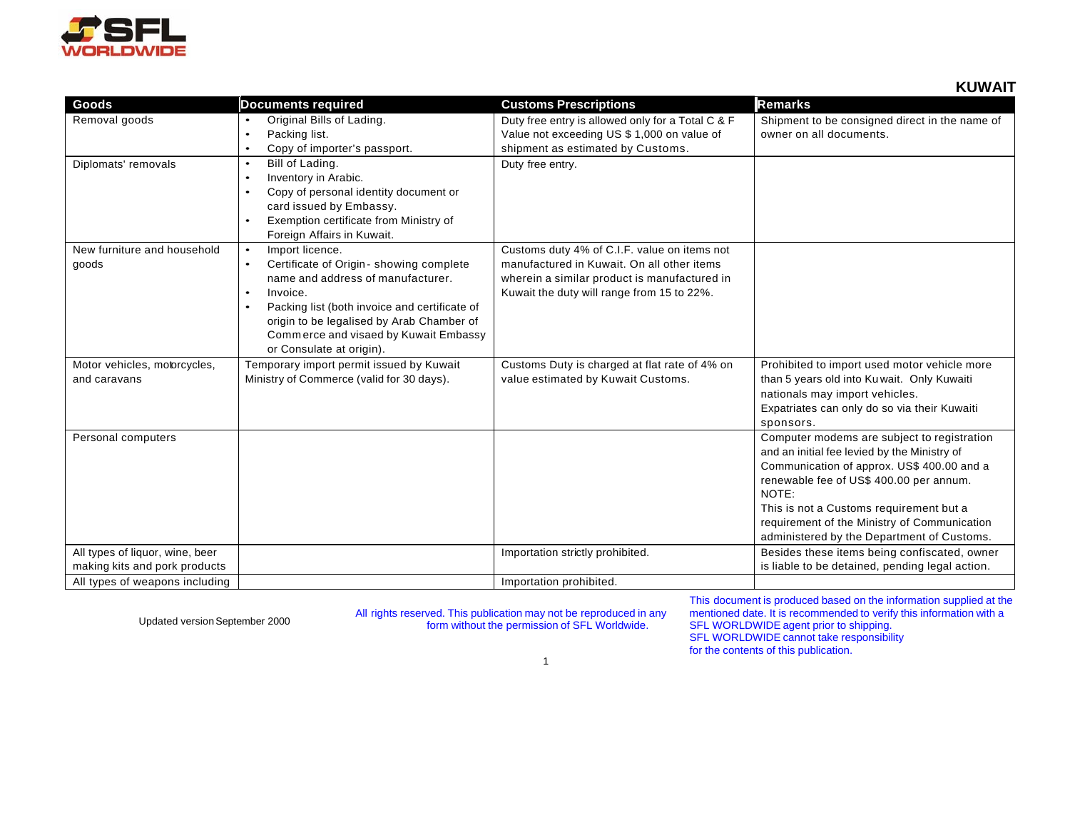

**KUWAIT**

| Goods                           | <b>Documents required</b>                                  | <b>Customs Prescriptions</b>                      | <b>Remarks</b>                                  |
|---------------------------------|------------------------------------------------------------|---------------------------------------------------|-------------------------------------------------|
| Removal goods                   | Original Bills of Lading.<br>$\bullet$                     | Duty free entry is allowed only for a Total C & F | Shipment to be consigned direct in the name of  |
|                                 | Packing list.<br>$\bullet$                                 | Value not exceeding US \$ 1,000 on value of       | owner on all documents.                         |
|                                 | Copy of importer's passport.<br>$\bullet$                  | shipment as estimated by Customs.                 |                                                 |
| Diplomats' removals             | Bill of Lading.<br>$\bullet$                               | Duty free entry.                                  |                                                 |
|                                 | Inventory in Arabic.<br>$\bullet$                          |                                                   |                                                 |
|                                 | Copy of personal identity document or<br>$\bullet$         |                                                   |                                                 |
|                                 | card issued by Embassy.                                    |                                                   |                                                 |
|                                 | Exemption certificate from Ministry of<br>$\bullet$        |                                                   |                                                 |
|                                 | Foreign Affairs in Kuwait.                                 |                                                   |                                                 |
| New furniture and household     | Import licence.<br>$\bullet$                               | Customs duty 4% of C.I.F. value on items not      |                                                 |
| goods                           | Certificate of Origin - showing complete<br>$\bullet$      | manufactured in Kuwait. On all other items        |                                                 |
|                                 | name and address of manufacturer.                          | wherein a similar product is manufactured in      |                                                 |
|                                 | Invoice.<br>$\bullet$                                      | Kuwait the duty will range from 15 to 22%.        |                                                 |
|                                 | Packing list (both invoice and certificate of<br>$\bullet$ |                                                   |                                                 |
|                                 | origin to be legalised by Arab Chamber of                  |                                                   |                                                 |
|                                 | Commerce and visaed by Kuwait Embassy                      |                                                   |                                                 |
|                                 | or Consulate at origin).                                   |                                                   |                                                 |
| Motor vehicles, motorcycles,    | Temporary import permit issued by Kuwait                   | Customs Duty is charged at flat rate of 4% on     | Prohibited to import used motor vehicle more    |
| and caravans                    | Ministry of Commerce (valid for 30 days).                  | value estimated by Kuwait Customs.                | than 5 years old into Ku wait. Only Kuwaiti     |
|                                 |                                                            |                                                   | nationals may import vehicles.                  |
|                                 |                                                            |                                                   | Expatriates can only do so via their Kuwaiti    |
|                                 |                                                            |                                                   | sponsors.                                       |
| Personal computers              |                                                            |                                                   | Computer modems are subject to registration     |
|                                 |                                                            |                                                   | and an initial fee levied by the Ministry of    |
|                                 |                                                            |                                                   | Communication of approx. US\$ 400.00 and a      |
|                                 |                                                            |                                                   | renewable fee of US\$ 400.00 per annum.         |
|                                 |                                                            |                                                   | NOTE:                                           |
|                                 |                                                            |                                                   | This is not a Customs requirement but a         |
|                                 |                                                            |                                                   | requirement of the Ministry of Communication    |
|                                 |                                                            |                                                   | administered by the Department of Customs.      |
| All types of liquor, wine, beer |                                                            | Importation strictly prohibited.                  | Besides these items being confiscated, owner    |
| making kits and pork products   |                                                            |                                                   | is liable to be detained, pending legal action. |
| All types of weapons including  |                                                            | Importation prohibited.                           |                                                 |

Updated version September 2000 All rights reserved. This publication may not be reproduced in any form without the permission of SFL Worldwide.

This document is produced based on the information supplied at the mentioned date. It is recommended to verify this information with a SFL WORLDWIDE agent prior to shipping. SFL WORLDWIDE cannot take responsibility for the contents of this publication.

1